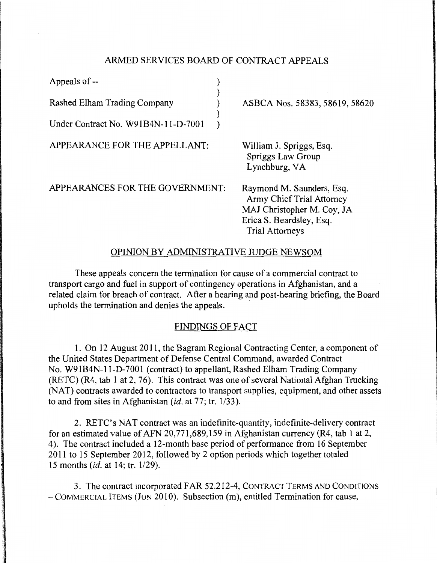#### ARMED SERVICES BOARD OF CONTRACT APPEALS

| Appeals of --                       |                                                                                                                                            |
|-------------------------------------|--------------------------------------------------------------------------------------------------------------------------------------------|
| Rashed Elham Trading Company        | ASBCA Nos. 58383, 58619, 58620                                                                                                             |
| Under Contract No. W91B4N-11-D-7001 |                                                                                                                                            |
| APPEARANCE FOR THE APPELLANT:       | William J. Spriggs, Esq.<br>Spriggs Law Group<br>Lynchburg, VA                                                                             |
| APPEARANCES FOR THE GOVERNMENT:     | Raymond M. Saunders, Esq.<br>Army Chief Trial Attorney<br>MAJ Christopher M. Coy, JA<br>Erica S. Beardsley, Esq.<br><b>Trial Attorneys</b> |

#### OPINION BY ADMINISTRATIVE JUDGE NEWSOM

These appeals concern the termination for cause of a commercial contract to transport cargo and fuel in support of contingency operations in Afghanistan, and a related claim for breach of contract. After a hearing and post-hearing briefing, the Board upholds the termination and denies the appeals.

#### FINDINGS OF FACT

1. On 12 August 2011, the Bagram Regional Contracting Center, a component of the United States Department of Defense Central Command, awarded Contract No. W91B4N-l l-D-7001 (contract) to appellant, Rashed Elham Trading Company (RETC) (R4, tab 1 at 2, 76). This contract was one of several National Afghan Trucking (NAT) contracts awarded to contractors to transport supplies, equipment, and other assets to and from sites in Afghanistan *(id.* at 77; tr. 1/33).

2. RETC's NAT contract was an indefinite-quantity, indefinite-delivery contract for an estimated value of AFN 20,771,689,159 in Afghanistan currency (R4, tab 1 at 2, 4). The contract included a 12-month base period of performance from 16 September 2011 to 15 September 2012, followed by 2 option periods which together totaled 15 months *(id.* at 14; tr. 1/29).

3. The contract incorporated FAR 52.212-4, CONTRACT TERMS AND CONDITIONS - COMMERCIAL ITEMS (JUN 2010). Subsection (m), entitled Termination for cause,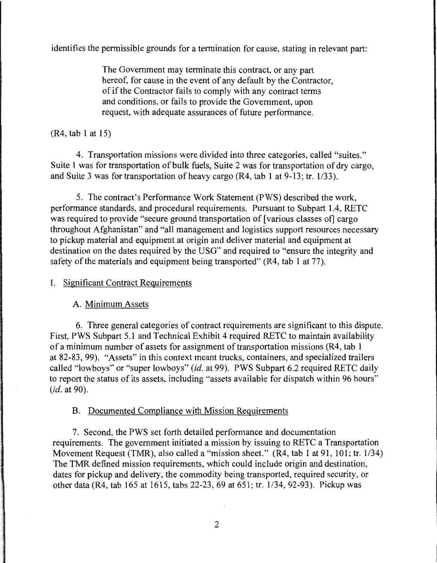identifies the permissible grounds for a termination for cause, stating in relevant part:

The Government may terminate this contract. or any part hereof, for cause in the event of any default by the Contractor, of if the Contractor fails to comply with any contract terms and conditions, or fails to provide the Government, upon request, with adequate assurances of future performance.

(R4, tab 1 at 15)

4. Transportation missions were divided into three categories, called "suites." Suite 1 was for transportation of bulk fuels, Suite 2 was for transportation of dry cargo, and Suite 3 was for transportation of heavy cargo (R4, tab 1 at 9-13; tr. 1/33).

5. The contract's Performance Work Statement (PWS) described the work, performance standards, and procedural requirements. Pursuant to Subpart 1.4, RETC was required to provide "secure ground transportation of [various classes of] cargo throughout Afghanistan" and "all management and logistics support resources necessary to pickup material and equipment at origin and deliver material and equipment at destination on the dates required by the USG" and required to "ensure the integrity and safety of the materials and equipment being transported" (R4, tab 1 at 77).

### I. Significant Contract Requirements

A. Minimum Assets

6. Three general categories of contract requirements are significant to this dispute. First, PWS Subpart 5.1 and Technical Exhibit 4 required RETC to maintain availability of a minimum number of assets for assignment of transportation missions (R4, tab 1 at 82-83, 99). "Assets" in this context meant trucks, containers, and specialized trailers called "lowboys" or "super lowboys" *(id.* at 99). PWS Subpart 6.2 required RETC daily to report the status of its assets, including "assets available for dispatch within 96 hours'' *(id.* at 90).

## B. Documented Compliance with Mission Requirements

7. Second, the PWS set forth detailed performance and documentation requirements. The government initiated a mission by issuing to RETC a Transportation Movement Request (TMR), also called a "mission sheet." (R4, tab 1 at 91, 101; tr. 1/34) The TMR defined mission requirements, which could include origin and destination, dates for pickup and delivery, the commodity being transported, required security, or other data (R4, tab 165 at 1615, tabs 22-23, 69 at 651; tr. 1/34, 92-93). Pickup was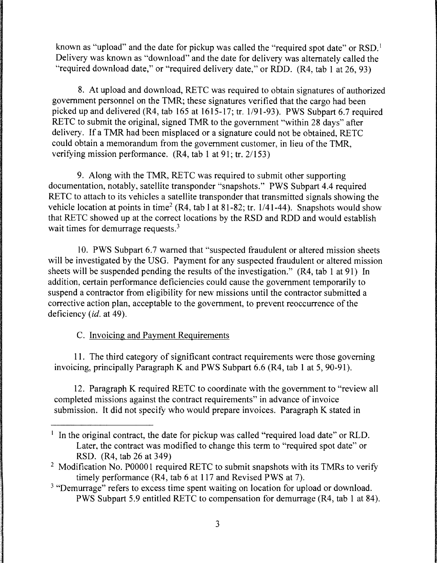known as "upload" and the date for pickup was called the "required spot date" or RSD.<sup>1</sup> Delivery was known as "download" and the date for delivery was alternately called the "required download date," or "required delivery date," or RDD. (R4, tab 1 at 26, 93)

8. At upload and download, RETC was required to obtain signatures of authorized government personnel on the TMR; these signatures verified that the cargo had been picked up and delivered (R4, tab 165 at 1615-17; tr. 1/91-93). PWS Subpart 6.7 required RETC to submit the original, signed TMR to the government "within 28 days" after delivery. If a TMR had been misplaced or a signature could not be obtained, RETC could obtain a memorandum from the government customer, in lieu of the TMR, verifying mission performance. (R4, tab 1 at 91; tr. 2/153)

9. Along with the TMR, RETC was required to submit other supporting documentation, notably, satellite transponder "snapshots." PWS Subpart 4.4 required RETC to attach to its vehicles a satellite transponder that transmitted signals showing the vehicle location at points in time<sup>2</sup> (R4, tab l at 81-82; tr.  $1/41-44$ ). Snapshots would show that RETC showed up at the correct locations by the RSD and RDD and would establish wait times for demurrage requests.<sup>3</sup>

10. PWS Subpart 6.7 warned that "suspected fraudulent or altered mission sheets will be investigated by the USG. Payment for any suspected fraudulent or altered mission sheets will be suspended pending the results of the investigation." (R4, tab 1 at 91) In addition, certain performance deficiencies could cause the government temporarily to suspend a contractor from eligibility for new missions until the contractor submitted a corrective action plan, acceptable to the government, to prevent reoccurrence of the deficiency *(id.* at 49).

C. Invoicing and Payment Requirements

**11.** The third category of significant contract requirements were those governing invoicing, principally Paragraph K and PWS Subpart 6.6 (R4, tab 1 at 5, 90-91).

12. Paragraph K required RETC to coordinate with the government to "review all completed missions against the contract requirements" in advance of invoice submission. It did not specify who would prepare invoices. Paragraph K stated in

 $<sup>1</sup>$  In the original contract, the date for pickup was called "required load date" or RLD.</sup> Later, the contract was modified to change this term to "required spot date" or RSD. (R4, tab 26 at 349)

<sup>&</sup>lt;sup>2</sup> Modification No. P00001 required RETC to submit snapshots with its TMRs to verify timely performance (R4, tab 6 at 117 and Revised PWS at 7).

<sup>&</sup>lt;sup>3</sup> "Demurrage" refers to excess time spent waiting on location for upload or download. PWS Subpart 5.9 entitled RETC to compensation for demurrage (R4, tab **1** at 84).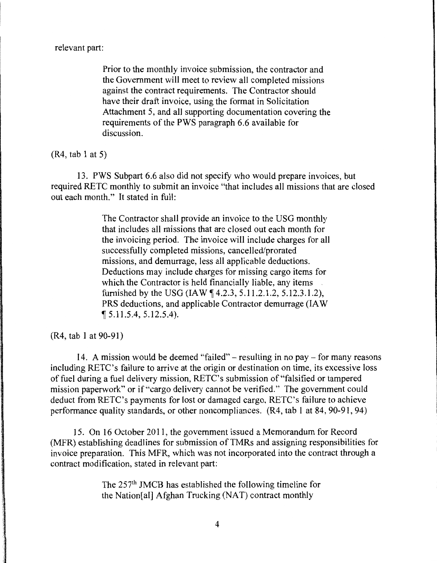relevant part:

Prior to the monthly invoice submission, the contractor and the Government will meet to review all completed missions against the contract requirements. The Contractor should have their draft invoice, using the format in Solicitation Attachment 5, and all supporting documentation covering the requirements of the PWS paragraph 6.6 available for discussion.

(R4, tab 1 at 5)

13. PWS Subpart 6.6 also did not specify who would prepare invoices, but required RETC monthly to submit an invoice "that includes all missions that are closed out each month." It stated in full:

> The Contractor shall provide an invoice to the USG monthly that includes all missions that are closed out each month for the invoicing period. The invoice will include charges for all successfully completed missions, cancelled/prorated missions, and demurrage, less all applicable deductions. Deductions may include charges for missing cargo items for which the Contractor is held financially liable, any items furnished by the USG (IAW  $\llbracket 4.2.3, 5.11.2.1.2, 5.12.3.1.2$ ), PRS deductions, and applicable Contractor demurrage (IA W  $\P$  5.11.5.4, 5.12.5.4).

(R4, tab 1 at 90-91)

14. A mission would be deemed "failed" - resulting in no pay - for many reasons including RETC's failure to arrive at the origin or destination on time, its excessive loss of fuel during a fuel delivery mission, RETC's submission of"falsified or tampered mission paperwork" or if '"cargo delivery cannot be verified." The government could deduct from RETC's payments for lost or damaged cargo, RETC's failure to achieve performance quality standards, or other noncompliances. (R4, tab I at 84, 90-91, 94)

15. On 16 October 2011, the government issued a Memorandum for Record (MFR) establishing deadlines for submission of TMRs and assigning responsibilities for invoice preparation. This MFR, which was not incorporated into the contract through a contract modification, stated in relevant part:

> The 257<sup>th</sup> JMCB has established the following timeline for the Nation[al] Afghan Trucking (NAT) contract monthly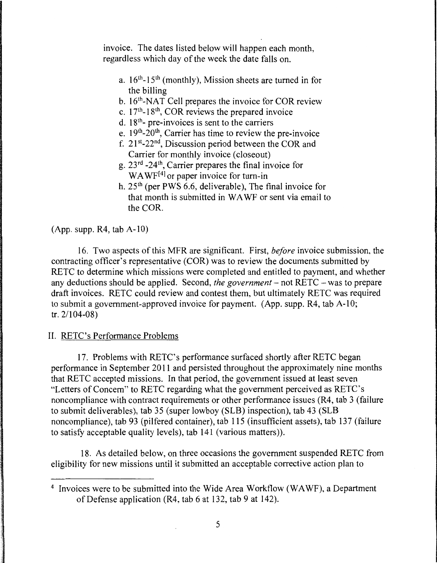invoice. The dates listed below will happen each month, regardless which day of the week the date falls on.

- a.  $16<sup>th</sup> 15<sup>th</sup>$  (monthly), Mission sheets are turned in for the billing
- b.  $16<sup>th</sup>$ -NAT Cell prepares the invoice for COR review
- c.  $17<sup>th</sup>$ -18<sup>th</sup>, COR reviews the prepared invoice
- d.  $18<sup>th</sup>$  pre-invoices is sent to the carriers
- e.  $19<sup>th</sup> 20<sup>th</sup>$ , Carrier has time to review the pre-invoice
- f.  $21<sup>st</sup> 22<sup>nd</sup>$ , Discussion period between the COR and Carrier for monthly invoice (closeout)
- g.  $23^{rd}$  -24<sup>th</sup>, Carrier prepares the final invoice for  $WAWF<sup>[4]</sup>$  or paper invoice for turn-in
- h. 25<sup>th</sup> (per PWS 6.6, deliverable), The final invoice for that month is submitted in WA WF or sent via email to the COR.

(App. supp. R4, tab A-10)

16. Two aspects of this MFR are significant. First, *before* invoice submission, the contracting officer's representative (COR) was to review the documents submitted by RETC to determine which missions were completed and entitled to payment, and whether any deductions should be applied. Second, *the government* - not RETC - was to prepare draft invoices. RETC could review and contest them, but ultimately RETC was required to submit a government-approved invoice for payment. (App. supp.  $R4$ , tab  $A-10$ ; tr. 2/104-08)

## II. RETC's Performance Problems

17. Problems with RETC's performance surfaced shortly after RETC began performance in September 2011 and persisted throughout the approximately nine months that RETC accepted missions. In that period, the government issued at least seven "Letters of Concern" to RETC regarding what the government perceived as RETC's noncompliance with contract requirements or other performance issues (R4, tab 3 (failure to submit deliverables), tab 35 (super lowboy (SLB) inspection), tab 43 (SLB noncompliance), tab 93 (pilfered container), tab 115 (insufficient assets), tab 137 (failure to satisfy acceptable quality levels), tab 141 (various matters)).

18. As detailed below, on three occasions the government suspended RETC from eligibility for new missions until it submitted an acceptable corrective action plan to

<sup>&</sup>lt;sup>4</sup> Invoices were to be submitted into the Wide Area Workflow (WAWF), a Department of Defense application (R4, tab 6 at 132, tab 9 at 142).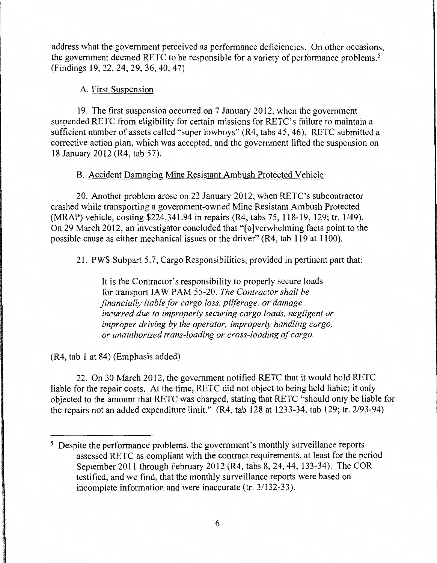address what the government perceived as performance deficiencies. On other occasions, the government deemed RETC to be responsible for a variety of performance problems.<sup>5</sup> (Findings I9, 22, 24, 29, 36, 40, 47)

# A. First Suspension

19. The first suspension occurred on 7 January 2012, when the government suspended RETC from eligibility for certain missions for RETC's failure to maintain a sufficient number of assets called "super lowboys" (R4, tabs 45, 46). RETC submitted a corrective action plan, which was accepted, and the government lifted the suspension on 18 January 2012 (R4, tab 57).

# B. Accident Damaging Mine Resistant Ambush Protected Vehicle

20. Another problem arose on 22 January 2012, when RETC's subcontractor crashed while transporting a government-owned Mine Resistant Ambush Protected (MRAP) vehicle, costing \$224,341.94 in repairs (R4, tabs 75, 118-19, I29; tr. 1/49). On 29 March 2012, an investigator concluded that "[o]verwhelming facts point to the possible cause as either mechanical issues or the driver" (R4, tab 119 at 1100).

# 21. PWS Subpart 5.7, Cargo Responsibilities, provided in pertinent part that:

It is the Contractor's responsibility to properly secure loads for transport IA W PAM 55-20. *The Contractor shall be financially liable for cargo loss, pilferage, or damage incurred due to improperly securing cargo loads, negligent or improper driving by the operator, improperly handling cargo, or unauthorized trans-loading or cross-loading of cargo.* 

(R4, tab 1 at 84) (Emphasis added)

22. On 30 March 2012, the government notified RETC that it would hold RETC liable for the repair costs. At the time, RETC did not object to being held liable; it only objected to the amount that RETC was charged, stating that RETC "should only be liable for the repairs not an added expenditure limit." (R4, tab 128 at 1233-34, tab 129; tr. 2/93-94)

<sup>&</sup>lt;sup>5</sup> Despite the performance problems, the government's monthly surveillance reports assessed RETC as compliant with the contract requirements, at least for the period September 2011 through February 20I2 (R4, tabs 8, 24, 44, 133-34). The COR testified, and we find, that the monthly surveillance reports were based on incomplete information and were inaccurate (tr. 3/132-33).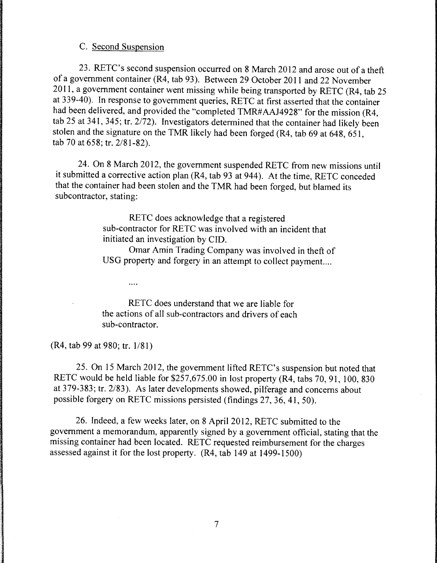#### C. Second Suspension

23. RETC's second suspension occurred on 8 March 2012 and arose out of a theft of a government container (R4, tab 93). Between 29 October 2011 and 22 November 2011, a government container went missing while being transported by RETC (R4, tab 25 at 339-40). In response to government queries, RETC at first asserted that the container had been delivered, and provided the "completed TMR#AAJ4928" for the mission (R4, tab 25 at 341, 345; tr.  $2/72$ ). Investigators determined that the container had likely been stolen and the signature on the TMR likely had been forged (R4, tab 69 at 648, 651, tab 70 at 658; tr. 2/81-82).

24. On 8 March 2012, the government suspended RETC from new missions until it submitted a corrective action plan (R4, tab 93 at 944). At the time, RETC conceded that the container had been stolen and the TMR had been forged, but blamed its subcontractor, stating:

> RETC does acknowledge that a registered sub-contractor for RETC was involved with an incident that initiated an investigation by CID.

Omar Amin Trading Company was involved in theft of USG property and forgery in an attempt to collect payment....

 $\ddots$ 

RETC does understand that we are liable for the actions of all sub-contractors and drivers of each sub-contractor.

(R4, tab 99 at 980; tr. 1/81)

25. On 15 March 2012, the government lifted RETC's suspension but noted that RETC would be held liable for \$257,675.00 in lost property (R4, tabs 70, 91, 100, 830 at 379-383; tr. 2/83). As later developments showed, pilferage and concerns about possible forgery on RETC missions persisted (findings 27, 36, 41, 50).

26. Indeed, a few weeks later, on 8 April 2012, RETC submitted to the government a memorandum, apparently signed by a government official, stating that the missing container had been located. RETC requested reimbursement for the charges assessed against it for the lost property. (R4, tab 149 at 1499-1500)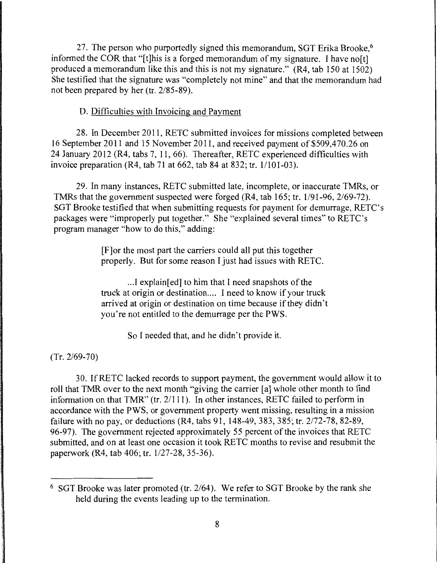27. The person who purportedly signed this memorandum, SGT Erika Brooke,<sup>6</sup> informed the COR that "[t]his is a forged memorandum of my signature. I have no[t] produced a memorandum like this and this is not my signature." (R4, tab 150 at 1502) She testified that the signature was "completely not mine" and that the memorandum had not been prepared by her (tr. 2/85-89).

### D. Difficulties with Invoicing and Payment

28. In December 2011, RETC submitted invoices for missions completed between 16 September 2011 and 15 November 2011, and received payment of \$509,470.26 on 24 January 2012 (R4, tabs 7, 11, 66). Thereafter, RETC experienced difficulties with invoice preparation  $(R4, tab 71$  at 662, tab 84 at 832; tr.  $1/101-03$ ).

29. In many instances, RETC submitted late, incomplete, or inaccurate TMRs, or TMRs that the government suspected were forged  $(R4, tab 165; tr. 1/91-96, 2/69-72)$ . SGT Brooke testified that when submitting requests for payment for demurrage, RETC's packages were "improperly put together." She "explained several times" to RETC's program manager "how to do this," adding:

> [F]or the most part the carriers could all put this together properly. But for some reason I just had issues with RETC .

... I explain [ed] to him that I need snapshots of the truck at origin or destination.... I need to know if your truck arrived at origin or destination on time because if they didn't you're not entitled to the demurrage per the PWS.

So I needed that, and he didn't provide it.

(Tr. 2/69-70)

30. IfRETC lacked records to support payment, the government would allow it to roll that TMR over to the next month "giving the carrier [a] whole other month to find information on that TMR" (tr. 2/111). In other instances, RETC failed to perform in accordance with the PWS, or government property went missing, resulting in a mission failure with no pay, or deductions (R4, tabs 91, 148-49, 383, 385; tr. 2/72-78, 82-89, 96-97). The government rejected approximately 55 percent of the invoices that RETC submitted, and on at least one occasion it took RETC months to revise and resubmit the paperwork (R4, tab 406; tr. 1/27-28, 35-36).

<sup>6</sup> SGT Brooke was later promoted (tr. 2/64). We refer to SGT Brooke by the rank she held during the events leading up to the termination.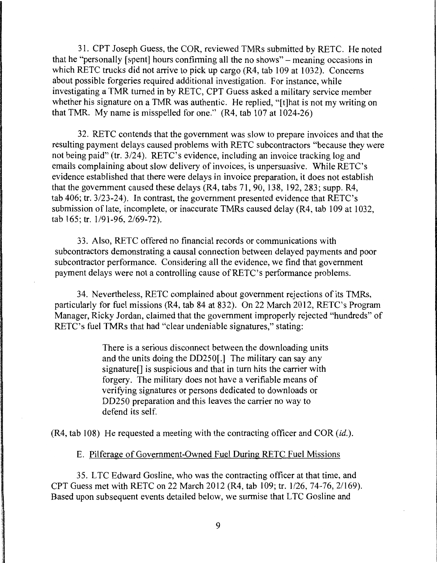31. CPT Joseph Guess, the COR, reviewed TMRs submitted by RETC. He noted that he "personally [spent] hours confirming all the no shows" - meaning occasions in which RETC trucks did not arrive to pick up cargo (R4, tab 109 at 1032). Concerns about possible forgeries required additional investigation. For instance, while investigating a TMR turned in by RETC, CPT Guess asked a military service member whether his signature on a TMR was authentic. He replied, "[t]hat is not my writing on that TMR. My name is misspelled for one."  $(R4, tab 107 at 1024-26)$ 

32. RETC contends that the government was slow to prepare invoices and that the resulting payment delays caused problems with RETC subcontractors "because they were not being paid" (tr. 3/24). RETC's evidence, including an invoice tracking log and emails complaining about slow delivery of invoices, is unpersuasive. While RETC's evidence established that there were delays in invoice preparation, it does not establish that the government caused these delays (R4, tabs 71, 90, 138, 192, 283; supp. R4, tab 406; tr. 3/23-24). In contrast, the government presented evidence that RETC's submission of late, incomplete, or inaccurate TMRs caused delay (R4, tab 109 at 1032, tab 165; tr. 1/91-96, 2/69-72).

33. Also, RETC offered no financial records or communications with subcontractors demonstrating a causal connection between delayed payments and poor subcontractor performance. Considering all the evidence, we find that government payment delays were not a controlling cause of RETC's performance problems.

34. Nevertheless, RETC complained about government rejections of its TMRs, particularly for fuel missions (R4, tab 84 at 832). On 22 March 2012, RETC's Program Manager, Ricky Jordan, claimed that the government improperly rejected "hundreds" of RETC's fuel TMRs that had "clear undeniable signatures," stating:

> There is a serious disconnect between the downloading units and the units doing the DD250[.] The military can say any signature[] is suspicious and that in tum hits the carrier with forgery. The military does not have a verifiable means of verifying signatures or persons dedicated to downloads or DD250 preparation and this leaves the carrier no way to defend its self

 $(R4, tab 108)$  He requested a meeting with the contracting officer and COR  $(id.)$ .

E. Pilferage of Government-Owned Fuel During RETC Fuel Missions

35. LTC Edward Gosline, who was the contracting officer at that time, and CPT Guess met with RETC on 22 March 2012 (R4, tab 109; tr. 1126, 74-76, 2/169). Based upon subsequent events detailed below, we surmise that LTC Gosline and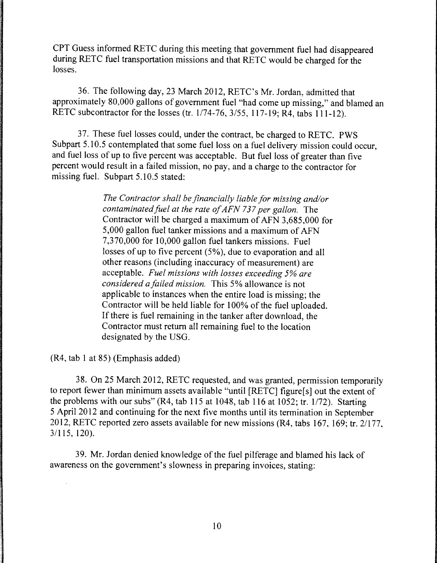CPT Guess informed RETC during this meeting that government fuel had disappeared during RETC fuel transportation missions and that RETC would be charged for the losses.

36. The following day, 23 March 2012, RETC's Mr. Jordan, admitted that approximately 80,000 gallons of government fuel "had come up missing," and blamed an RETC subcontractor for the losses (tr. 1/74-76, 3/55, 117-19; R4, tabs 111-12).

37. These fuel losses could, under the contract, be charged to RETC. PWS Subpart 5.10.5 contemplated that some fuel loss on a fuel delivery mission could occur, and fuel loss of up to five percent was acceptable. But fuel loss of greater than five percent would result in a failed mission, no pay, and a charge to the contractor for missing fuel. Subpart 5.10.5 stated:

> *The Contractor shall be financially liable for missing and/or contaminatedfuel at the rate of AFN 737 per gallon.* The Contractor will be charged a maximum of AFN 3,685,000 for 5,000 gallon fuel tanker missions and a maximum of AFN 7,370,000 for 10,000 gallon fuel tankers missions. Fuel losses of up to five percent (5%), due to evaporation and all other reasons (including inaccuracy of measurement) are acceptable. *Fuel missions with losses exceeding 5% are considered a failed mission.* This 5% allowance is not applicable to instances when the entire load is missing; the Contractor will be held liable for 100% of the fuel uploaded. If there is fuel remaining in the tanker after download, the Contractor must return all remaining fuel to the location designated by the USG.

(R4, tab I at 85) (Emphasis added)

38. On 25 March 2012, RETC requested, and was granted, permission temporarily to report fewer than minimum assets available "until [RETC] figure[s] out the extent of the problems with our subs"  $(R4, tab 115 at 1048, tab 116 at 1052; tr. 1/72)$ . Starting 5 April 2012 and continuing for the next five months until its termination in September 2012, RETC reported zero assets available for new missions (R4, tabs 167, 169; tr. 2/177, 3/115, 120).

39. Mr. Jordan denied knowledge of the fuel pilferage and blamed his lack of awareness on the government's slowness in preparing invoices, stating: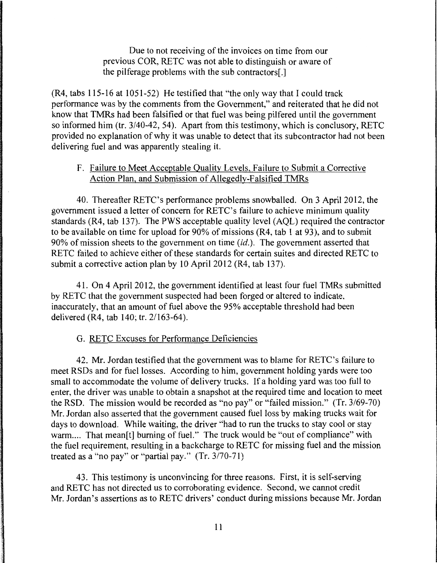Due to not receiving of the invoices on time from our previous COR, RETC was not able to distinguish or aware of the pilferage problems with the sub contractors[.]

(R4, tabs 115-16 at 1051-52) He testified that "the only way that I could track performance was by the comments from the Government," and reiterated that he did not know that TMRs had been falsified or that fuel was being pilfered until the government so informed him (tr. 3/40-42, 54). Apart from this testimony, which is conclusory, RETC provided no explanation of why it was unable to detect that its subcontractor had not been delivering fuel and was apparently stealing it.

### F. Failure to Meet Acceptable Quality Levels, Failure to Submit a Corrective Action Plan, and Submission of Allegedly-Falsified TMRs

40. Thereafter RETC's performance problems snowballed. On 3 April 2012, the government issued a letter of concern for RETC's failure to achieve minimum quality standards (R4, tab 137). The PWS acceptable quality level (AQL) required the contractor to be available on time for upload for 90% of missions (R4, tab 1 at 93 ), and to submit 90% of mission sheets to the government on time *(id.).* The government asserted that RETC failed to achieve either of these standards for certain suites and directed RETC to submit a corrective action plan by 10 April 2012 (R4, tab 137).

41. On 4 April 2012, the government identified at least four fuel TMRs submitted by RETC that the government suspected had been forged or altered to indicate, inaccurately, that an amount of fuel above the 95% acceptable threshold had been delivered (R4, tab 140; tr. 2/163-64).

## G. RETC Excuses for Performance Deficiencies

42. Mr. Jordan testified that the government was to blame for RETC's failure to meet RSDs and for fuel losses. According to him, government holding yards were too small to accommodate the volume of delivery trucks. If a holding yard was too full to enter, the driver was unable to obtain a snapshot at the required time and location to meet the RSD. The mission would be recorded as "no pay" or "failed mission." (Tr. 3/69-70) Mr. Jordan also asserted that the government caused fuel loss by making trucks wait for days to download. While waiting, the driver "had to run the trucks to stay cool or stay warm.... That mean[t] burning of fuel." The truck would be "out of compliance" with the fuel requirement, resulting in a backcharge to RETC for missing fuel and the mission treated as a "no pay" or "partial pay."  $(Tr. 3/70-71)$ 

43. This testimony is unconvincing for three reasons. First, it is self-serving and RETC has not directed us to corroborating evidence. Second, we cannot credit Mr. Jordan's assertions as to RETC drivers' conduct during missions because Mr. Jordan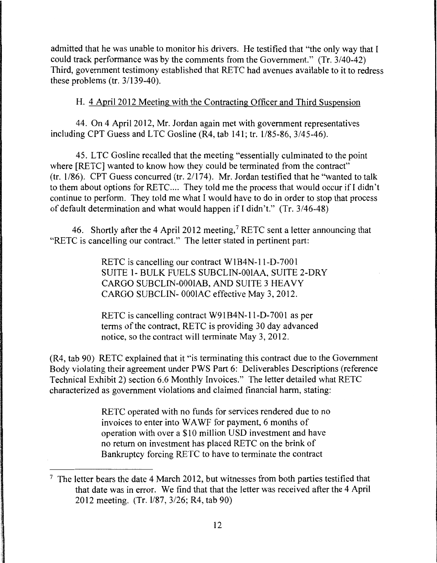admitted that he was unable to monitor his drivers. He testified that "the only way that I could track performance was by the comments from the Government." (Tr. 3/40-42) Third, government testimony established that RETC had avenues available to it to redress these problems (tr. 3/139-40).

# H. 4 April 2012 Meeting with the Contracting Officer and Third Suspension

44. On 4 April 2012, Mr. Jordan again met with government representatives including CPT Guess and LTC Gosline  $(R4, tab 141; tr. 1/85-86, 3/45-46)$ .

45. LTC Gosline recalled that the meeting "essentially culminated to the point where [RETC] wanted to know how they could be terminated from the contract" (tr.  $1/86$ ). CPT Guess concurred (tr.  $2/174$ ). Mr. Jordan testified that he "wanted to talk to them about options for RETC.... They told me the process that would occur if I didn't continue to perform. They told me what I would have to do in order to stop that process of default determination and what would happen if I didn't." (Tr. 3/46-48)

46. Shortly after the 4 April 2012 meeting,<sup>7</sup> RETC sent a letter announcing that "RETC is cancelling our contract." The letter stated in pertinent part:

> RETC is cancelling our contract WlB4N-l l-D-7001 SUITE 1- BULK FUELS SUBCLIN-OOlAA, SUITE 2-DRY CARGO SUBCLIN-OOOIAB, AND SUITE 3 HEAVY CARGO SUBCLIN- OOOlAC effective May 3, 2012.

RETC is cancelling contract W91B4N-11-D-7001 as per terms of the contract, RETC is providing 30 day advanced notice, so the contract will terminate May 3, 2012.

(R4, tab 90) RETC explained that it "is terminating this contract due to the Government Body violating their agreement under PWS Part 6: Deliverables Descriptions (reference Technical Exhibit 2) section 6.6 Monthly Invoices." The letter detailed what RETC characterized as government violations and claimed financial harm, stating:

> RETC operated with no funds for services rendered due to no invoices to enter into WA WF for payment, 6 months of operation with over a \$10 million USD investment and have no return on investment has placed RETC on the brink of Bankruptcy forcing RETC to have to terminate the contract

 $<sup>7</sup>$  The letter bears the date 4 March 2012, but witnesses from both parties testified that</sup> that date was in error. We find that that the letter was received after the 4 April 2012 meeting. (Tr. 1/87, 3/26; R4, tab 90)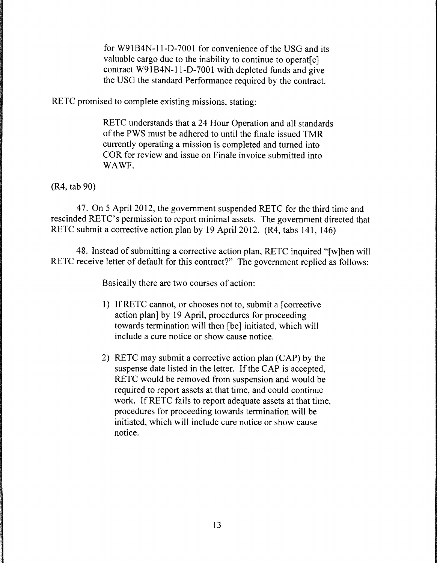for W91B4N-l 1-D-7001 for convenience of the USG and its valuable cargo due to the inability to continue to operatel contract W91B4N-1 l-D-7001 with depleted funds and give the USG the standard Performance required by the contract.

RETC promised to complete existing missions, stating:

RETC understands that a 24 Hour Operation and all standards of the PWS must be adhered to until the finale issued TMR currently operating a mission is completed and turned into COR for review and issue on Finale invoice submitted into WAWF.

(R4, tab 90)

47. On 5 April 2012, the government suspended RETC for the third time and rescinded RETC's permission to report minimal assets. The government directed that RETC submit a corrective action plan by 19 April 2012. (R4, tabs 141, 146)

48. Instead of submitting a corrective action plan, RETC inquired "[w]hen will RETC receive letter of default for this contract?" The government replied as follows:

Basically there are two courses of action:

- 1) If RETC cannot, or chooses not to, submit a [corrective action plan] by 19 April, procedures for proceeding towards termination will then [be] initiated, which will include a cure notice or show cause notice.
- 2) RETC may submit a corrective action plan (CAP) by the suspense date listed in the letter. If the CAP is accepted, RETC would be removed from suspension and would be required to report assets at that time, and could continue work. If RETC fails to report adequate assets at that time, procedures for proceeding towards termination will be initiated, which will include cure notice or show cause notice.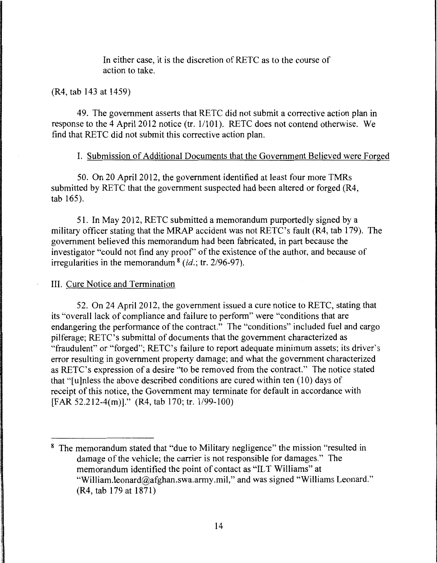In either case, it is the discretion of RETC as to the course of action to take.

(R4, tab 143 at 1459)

49. The government asserts that RETC did not submit a corrective action plan in response to the 4 April 2012 notice (tr.  $1/101$ ). RETC does not contend otherwise. We find that RETC did not submit this corrective action plan.

#### I. Submission of Additional Documents that the Government Believed were Forged

50. On 20 April 2012, the government identified at least four more TMRs submitted by RETC that the government suspected had been altered or forged (R4, tab 165).

51. In May 2012, RETC submitted a memorandum purportedly signed by a military officer stating that the MRAP accident was not RETC's fault (R4, tab 179). The government believed this memorandum had been fabricated, in part because the investigator "could not find any proof' of the existence of the author, and because of irregularities in the memorandum 8 *(id.;* tr. 2/96-97).

III. Cure Notice and Termination

52. On 24 April 2012, the government issued a cure notice to RETC, stating that its '"overall lack of compliance and failure to perform" were "conditions that are endangering the performance of the contract." The "conditions" included fuel and cargo pilferage; RETC's submittal of documents that the government characterized as "fraudulent" or "forged"; RETC's failure to report adequate minimum assets; its driver's error resulting in government property damage; and what the government characterized as RETC's expression of a desire "to be removed from the contract." The notice stated that "[u]nless the above described conditions are cured within ten (10) days of receipt of this notice, the Government may terminate for default in accordance with [FAR 52.212-4(m)]." (R4, tab 170; tr. 1/99-100)

<sup>&</sup>lt;sup>8</sup> The memorandum stated that "due to Military negligence" the mission "resulted in damage of the vehicle; the carrier is not responsible for damages." The memorandum identified the point of contact as "ILT Williams" at "William.leonard@afghan.swa.army.mil," and was signed "Williams Leonard." (R4, tab 179 at 1871)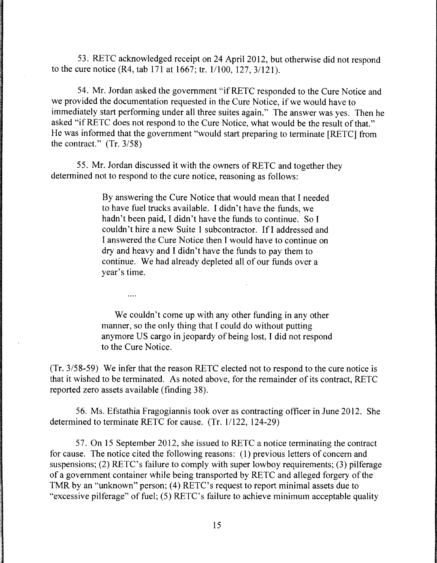53. RETC acknowledged receipt on 24 April 2012, but otherwise did not respond to the cure notice (R4, tab 171at1667; tr. 1/100, 127, 3/121).

54. Mr. Jordan asked the government "ifRETC responded to the Cure Notice and we provided the documentation requested in the Cure Notice, if we would have to immediately start performing under all three suites again." The answer was yes. Then he asked "if RETC does not respond to the Cure Notice, what would be the result of that." He was informed that the government "would start preparing to terminate [RETC] from the contract." (Tr. 3/58)

55. Mr. Jordan discussed it with the owners of RETC and together they determined not to respond to the cure notice, reasoning as follows:

 $\dddotsc$ 

By answering the Cure Notice that would mean that I needed to have fuel trucks available. I didn't have the funds, we hadn't been paid, I didn't have the funds to continue. So I couldn't hire a new Suite 1 subcontractor. If I addressed and I answered the Cure Notice then I would have to continue on dry and heavy and I didn't have the funds to pay them to continue. We had already depleted all of our funds over a year's time.

We couldn't come up with any other funding in any other manner, so the only thing that I could do without putting anymore US cargo in jeopardy of being lost, I did not respond to the Cure Notice.

(Tr. 3/58-59) We infer that the reason RETC elected not to respond to the cure notice is that it wished to be terminated. As noted above, for the remainder of its contract, RETC reported zero assets available (finding 38).

56. Ms. Efstathia Fragogiannis took over as contracting officer in June 2012. She determined to terminate RETC for cause. (Tr. 1/122, 124-29)

57. On 15 September 2012, she issued to RETC a notice terminating the contract for cause. The notice cited the following reasons: (1) previous letters of concern and suspensions; (2) RETC's failure to comply with super lowboy requirements; (3) pilferage of a government container while being transported by RETC and alleged forgery of the TMR by an "unknown" person; (4) RETC's request to report minimal assets due to "excessive pilferage" of fuel; (5) RETC's failure to achieve minimum acceptable quality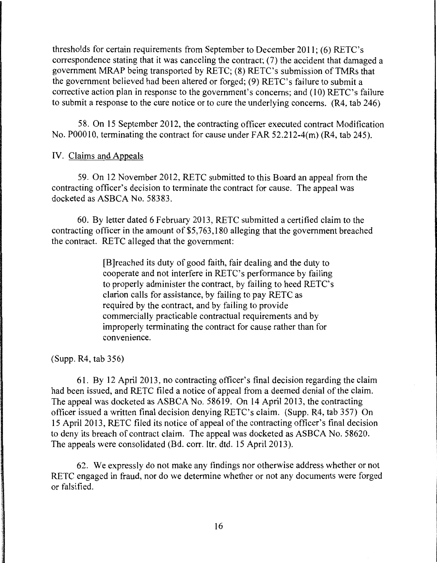thresholds for certain requirements from September to December 2011; (6) RETC's correspondence stating that it was canceling the contract; (7) the accident that damaged a government MRAP being transported by RETC; (8) RETC's submission of TMRs that the government believed had been altered or forged; (9) RETC's failure to submit a corrective action plan in response to the government's concerns; and (10) RETC's failure to submit a response to the cure notice or to cure the underlying concerns. (R4, tab 246)

58. On 15 September 2012, the contracting officer executed contract Modification No. POOO 10, terminating the contract for cause under FAR 52.212-4(m) (R4, tab 245).

## IV. Claims and Appeals

59. On 12 November 2012, RETC submitted to this Board an appeal from the contracting officer's decision to terminate the contract for cause. The appeal was docketed as ASBCA No. 58383.

60. By letter dated 6 February 2013, RETC submitted a certified claim to the contracting officer in the amount of\$5,763,180 alleging that the government breached the contract. RETC alleged that the government:

> [B ]reached its duty of good faith, fair dealing and the duty to cooperate and not interfere in RETC's performance by failing to properly administer the contract, by failing to heed RETC' s clarion calls for assistance, by failing to pay RETC as required by the contract, and by failing to provide commercially practicable contractual requirements and by improperly terminating the contract for cause rather than for convenience.

(Supp. R4, tab 356)

61. By 12 April 2013, no contracting officer's final decision regarding the claim had been issued, and RETC filed a notice of appeal from a deemed denial of the claim. The appeal was docketed as ASBCA No. 58619. On 14 April 2013, the contracting officer issued a written final decision denying RETC's claim. (Supp. R4, tab 357) On 15 April 2013, RETC filed its notice of appeal of the contracting officer's final decision to deny its breach of contract claim. The appeal was docketed as ASBCA No. 58620. The appeals were consolidated (Bd. corr. ltr. dtd. 15 April 2013).

62. We expressly do not make any findings nor otherwise address whether or not RETC engaged in fraud, nor do we determine whether or not any documents were forged or falsified.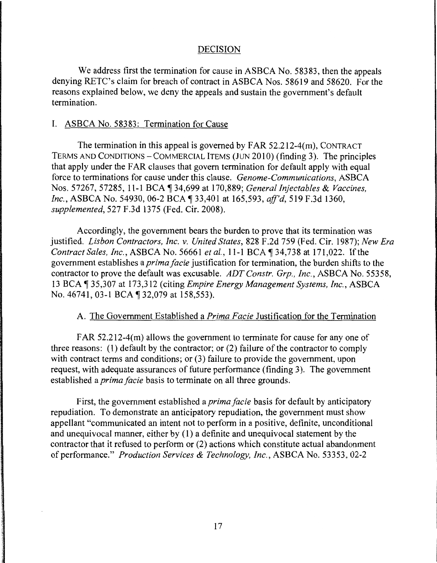## **DECISION**

We address first the termination for cause in ASBCA No. 58383, then the appeals denying RETC's claim for breach of contract in ASBCA Nos. 58619 and 58620. For the reasons explained below, we deny the appeals and sustain the government's default termination.

### I. ASBCA No. 58383: Termination for Cause

The termination in this appeal is governed by FAR 52.212-4(m), CONTRACT TERMS AND CONDITIONS-COMMERCIAL ITEMS (JUN 2010) (finding 3). The principles that apply under the FAR clauses that govern termination for default apply with equal force to terminations for cause under this clause. *Genome-Communications,* ASBCA Nos. 57267, 57285, **11-1** BCA ~ 34,699 at 170,889; *General lnjectables* & *Vaccines, Inc.*, ASBCA No. 54930, 06-2 BCA ¶ 33,401 at 165,593, *aff'd*, 519 F.3d 1360, *supplemented,* 527 F.3d 1375 (Fed. Cir. 2008).

Accordingly, the government bears the burden to prove that its termination was justified. *Lisbon Contractors, Inc. v. United States,* 828 F.2d 759 (Fed. Cir. 1987); *New Era Contract Sales, Inc., ASBCA No.* 56661 *et al., 11-1 BCA* 134,738 at 171,022. If the government establishes a *prima facie* justification for termination, the burden shifts to the contractor to prove the default was excusable. *ADT Constr. Grp., Inc.,* ASBCA No. 55358, 13 BCA ~ 35,307 at 173,312 (citing *Empire Energy Management Systems, Inc.,* ASBCA No. 46741, 03-1 BCA ¶ 32,079 at 158,553).

# A. The Government Established a *Prima Facie* Justification for the Termination

FAR 52.212-4(m) allows the government to terminate for cause for any one of three reasons: (1) default by the contractor; or (2) failure of the contractor to comply with contract terms and conditions; or  $(3)$  failure to provide the government, upon request, with adequate assurances of future performance (finding 3 ). The government established a *prima facie* basis to terminate on all three grounds.

First, the government established a *prima facie* basis for default by anticipatory repudiation. To demonstrate an anticipatory repudiation, the government must show appellant "communicated an intent not to perform in a positive, definite, unconditional and unequivocal manner, either by (I) a definite and unequivocal statement by the contractor that it refused to perform or (2) actions which constitute actual abandonment of performance." *Production Services* & *Technology, Inc.,* ASBCA No. 53353, 02-2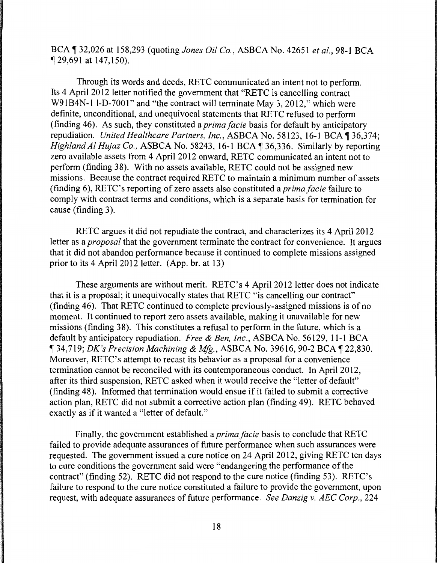BCA ¶ 32,026 at 158,293 (quoting *Jones Oil Co.*, ASBCA No. 42651 et al., 98-1 BCA 129,691 at  $147,150$ ).

Through its words and deeds, RETC communicated an intent not to perform. Its 4 April 2012 letter notified the government that "RETC is cancelling contract W91B4N-1 l-D-7001" and "the contract will terminate May 3, 2012," which were definite, unconditional, and unequivocal statements that RETC refused to perform (finding 46). As such, they constituted a *primafacie* basis for default by anticipatory repudiation. *United Healthcare Partners, Inc., ASBCA No.* 58123, 16-1 BCA 136,374; *Highland Al Hujaz Co., ASBCA No.* 58243, 16-1 BCA 136,336. Similarly by reporting zero available assets from 4 April 2012 onward, RETC communicated an intent not to perform (finding 38). With no assets available, RETC could not be assigned new missions. Because the contract required RETC to maintain a minimum number of assets (finding 6), RETC's reporting of zero assets also constituted a *primafacie* failure to comply with contract terms and conditions, which is a separate basis for termination for cause (finding 3).

RETC argues it did not repudiate the contract, and characterizes its 4 April 2012 letter as a *proposal* that the government terminate the contract for convenience. It argues that it did not abandon performance because it continued to complete missions assigned prior to its 4 April 2012 letter. (App. hr. at 13)

These arguments are without merit. RETC's 4 April 2012 letter does not indicate that it is a proposal; it unequivocally states that RETC "is cancelling our contract" (finding 46). That RETC continued to complete previously-assigned missions is of no moment. It continued to report zero assets available, making it unavailable for new missions (finding 38). This constitutes a refusal to perform in the future, which is a default by anticipatory repudiation. *Free* & *Ben, Inc.,* ASBCA No. 56129, 11-1 BCA **Jet 34,719;** *DK's Precision Machining & Mfg.***, ASBCA No. 39616, 90-2 BCA 122,830.** Moreover, RETC's attempt to recast its behavior as a proposal for a convenience termination cannot be reconciled with its contemporaneous conduct. In April 2012, after its third suspension, RETC asked when it would receive the "letter of default" (finding 48). Informed that termination would ensue if it failed to submit a corrective action plan, RETC did not submit a corrective action plan (finding 49). RETC behaved exactly as if it wanted a "letter of default."

Finally, the government established a *primafacie* basis to conclude that RETC failed to provide adequate assurances of future performance when such assurances were requested. The government issued a cure notice on 24 April 2012, giving RETC ten days to cure conditions the government said were "endangering the performance of the contract" (finding 52). RETC did not respond to the cure notice (finding 53). RETC's failure to respond to the cure notice constituted a failure to provide the government, upon request, with adequate assurances of future performance. *See Danzig v. AEC Corp.,* 224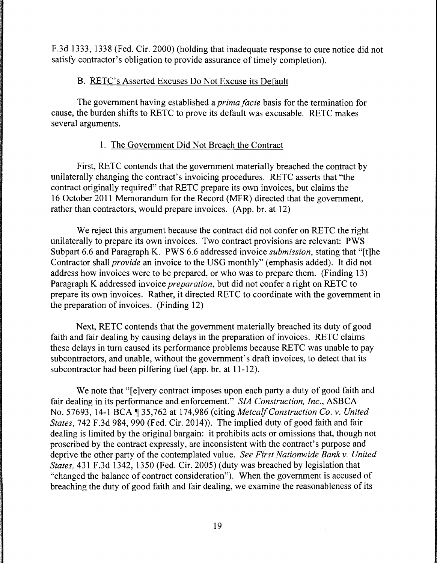F.3d 1333, 1338 (Fed. Cir. 2000) (holding that inadequate response to cure notice did not satisfy contractor's obligation to provide assurance of timely completion).

# B. RETC's Asserted Excuses Do Not Excuse its Default

The government having established a *prima facie* basis for the termination for cause, the burden shifts to RETC to prove its default was excusable. RETC makes several arguments.

# 1. The Government Did Not Breach the Contract

First, RETC contends that the government materially breached the contract by unilaterally changing the contract's invoicing procedures. RETC asserts that "the contract originally required" that RETC prepare its own invoices, but claims the 16 October 2011 Memorandum for the Record (MFR) directed that the government, rather than contractors, would prepare invoices. (App. br. at 12)

We reject this argument because the contract did not confer on RETC the right unilaterally to prepare its own invoices. Two contract provisions are relevant: PWS Subpart 6.6 and Paragraph K. PWS 6.6 addressed invoice *submission,* stating that "[t]he Contractor shall *provide* an invoice to the USG monthly" (emphasis added). It did not address how invoices were to be prepared, or who was to prepare them. (Finding 13) Paragraph K addressed invoice *preparation,* but did not confer a right on RETC to prepare its own invoices. Rather, it directed RETC to coordinate with the government in the preparation of invoices. (Finding 12)

Next, RETC contends that the government materially breached its duty of good faith and fair dealing by causing delays in the preparation of invoices. RETC claims these delays in turn caused its performance problems because RETC was unable to pay subcontractors, and unable, without the government's draft invoices, to detect that its subcontractor had been pilfering fuel (app. br. at 11-12).

We note that "[e]very contract imposes upon each party a duty of good faith and fair dealing in its performance and enforcement." *SIA Construction, Inc.,* ASBCA No. 57693, 14-1 BCA 135,762 at 174,986 (citing *Metcalf Construction Co. v. United States,* 742 F.3d 984, 990 (Fed. Cir. 2014)). The implied duty of good faith and fair dealing is limited by the original bargain: it prohibits acts or omissions that, though not proscribed by the contract expressly, are inconsistent with the contract's purpose and deprive the other party of the contemplated value. *See First Nationwide Bank* v. *United States,* 431 F.3d 1342, 1350 (Fed. Cir. 2005) (duty was breached by legislation that "changed the balance of contract consideration"). When the government is accused of breaching the duty of good faith and fair dealing, we examine the reasonableness of its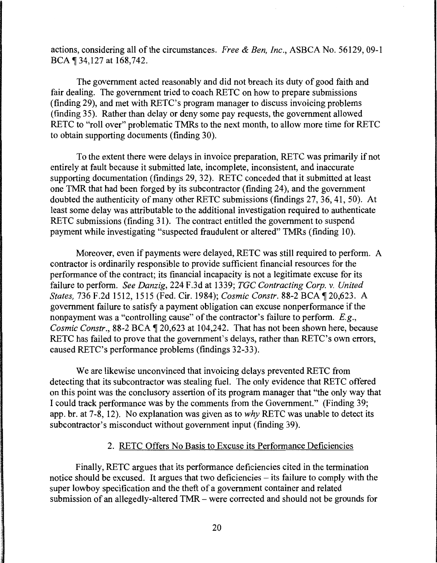actions, considering all of the circumstances. *Free & Ben, Inc.,* ASBCA No. 56129, 09-1 BCA ¶ 34,127 at 168,742.

The government acted reasonably and did not breach its duty of good faith and fair dealing. The government tried to coach RETC on how to prepare submissions (finding 29), and met with RETC's program manager to discuss invoicing problems (finding 35). Rather than delay or deny some pay requests, the government allowed RETC to "roll over" problematic TMRs to the next month, to allow more time for RETC to obtain supporting documents (finding 30).

To the extent there were delays in invoice preparation, RETC was primarily if not entirely at fault because it submitted late, incomplete, inconsistent, and inaccurate supporting documentation (findings 29, 32). RETC conceded that it submitted at least one TMR that had been forged by its subcontractor (finding 24), and the government doubted the authenticity of many other RETC submissions (findings 27, 36, 41, 50). At least some delay was attributable to the additional investigation required to authenticate RETC submissions (finding 31). The contract entitled the government to suspend payment while investigating "suspected fraudulent or altered" TMRs (finding 10).

Moreover, even if payments were delayed, RETC was still required to perform. A contractor is ordinarily responsible to provide sufficient financial resources for the performance of the contract; its financial incapacity is not a legitimate excuse for its failure to perform. *See Danzig,* 224 F.3d at 1339; *TGC Contracting Corp. v. United States, 736 F.2d 1512, 1515 (Fed. Cir. 1984); <i>Cosmic Constr. 88-2 BCA* 120,623. A government failure to satisfy a payment obligation can excuse nonperformance if the nonpayment was a "controlling cause" of the contractor's failure to perform. *E.g., Cosmic Constr.,* 88-2 BCA  $\P$  20,623 at 104,242. That has not been shown here, because RETC has failed to prove that the government's delays, rather than RETC's own errors, caused RETC's performance problems (findings 32-33).

We are likewise unconvinced that invoicing delays prevented RETC from detecting that its subcontractor was stealing fuel. The only evidence that RETC offered on this point was the conclusory assertion of its program manager that "the only way that I could track performance was by the comments from the Government." (Finding 39; app. br. at 7-8, 12). No explanation was given as to *why* RETC was unable to detect its subcontractor's misconduct without government input (finding 39).

#### 2. RETC Offers No Basis to Excuse its Performance Deficiencies

Finally, RETC argues that its performance deficiencies cited in the termination notice should be excused. It argues that two deficiencies – its failure to comply with the super lowboy specification and the theft of a government container and related submission of an allegedly-altered TMR – were corrected and should not be grounds for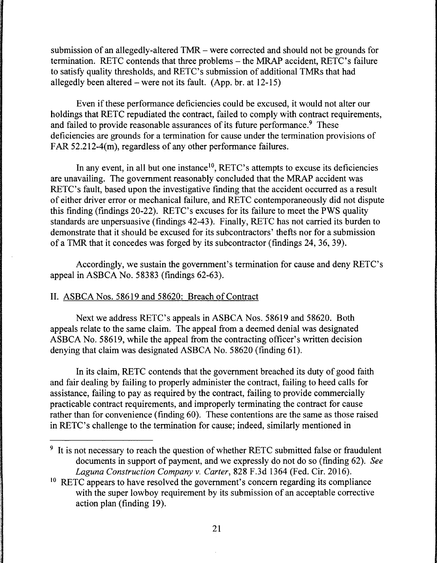submission of an allegedly-altered TMR – were corrected and should not be grounds for termination. RETC contends that three problems - the MRAP accident, RETC's failure to satisfy quality thresholds, and RETC's submission of additional TMRs that had allegedly been altered  $-$  were not its fault. (App. br. at  $12-15$ )

Even if these performance deficiencies could be excused, it would not alter our holdings that RETC repudiated the contract, failed to comply with contract requirements, and failed to provide reasonable assurances of its future performance.<sup>9</sup> These deficiencies are grounds for a termination for cause under the termination provisions of FAR 52.212-4(m), regardless of any other performance failures.

In any event, in all but one instance<sup>10</sup>, RETC's attempts to excuse its deficiencies are unavailing. The government reasonably concluded that the MRAP accident was RETC's fault, based upon the investigative finding that the accident occurred as a result of either driver error or mechanical failure, and RETC contemporaneously did not dispute this finding (findings 20-22). RETC's excuses for its failure to meet the PWS quality standards are unpersuasive (findings 42-43). Finally, RETC has not carried its burden to demonstrate that it should be excused for its subcontractors' thefts nor for a submission of a TMR that it concedes was forged by its subcontractor (findings 24, 36, 39).

Accordingly, we sustain the government's termination for cause and deny RETC's appeal in ASBCA No. 58383 (findings 62-63).

## II. ASBCA Nos. 58619 and 58620: Breach of Contract

Next we address RETC's appeals in ASBCA Nos. 58619 and 58620. Both appeals relate to the same claim. The appeal from a deemed denial was designated ASBCA No. 58619, while the appeal from the contracting officer's written decision denying that claim was designated ASBCA No. 58620 (finding 61).

In its claim, RETC contends that the government breached its duty of good faith and fair dealing by failing to properly administer the contract, failing to heed calls for assistance, failing to pay as required by the contract, failing to provide commercially practicable contract requirements, and improperly terminating the contract for cause rather than for convenience (finding 60). These contentions are the same as those raised in RETC's challenge to the termination for cause; indeed, similarly mentioned in

<sup>&</sup>lt;sup>9</sup> It is not necessary to reach the question of whether RETC submitted false or fraudulent documents in support of payment, and we expressly do not do so (finding 62). *See Laguna Construction Company v. Carter,* 828 F.3d 1364 (Fed. Cir. 2016).

<sup>&</sup>lt;sup>10</sup> RETC appears to have resolved the government's concern regarding its compliance with the super lowboy requirement by its submission of an acceptable corrective action plan (finding 19).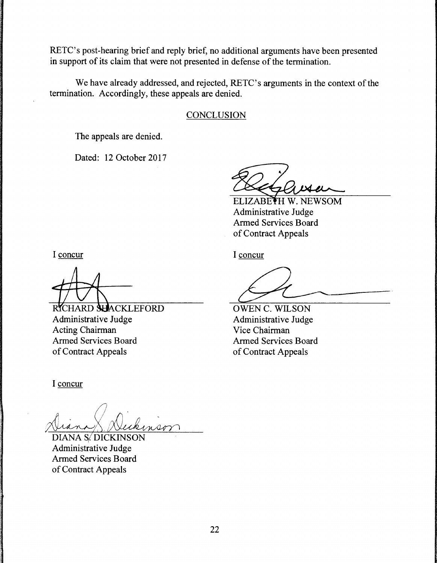RETC's post-hearing brief and reply brief, no additional arguments have been presented in support of its claim that were not presented in defense of the termination.

We have already addressed, and rejected, RETC's arguments in the context of the termination. Accordingly, these appeals are denied.

### **CONCLUSION**

The appeals are denied.

Dated: 12 October 2017

ELIZABETH W. NEWSOM Administrative Judge Armed Services Board of Contract Appeals

I concur

RICHARD SHACKLEFORD Administrative Judge Acting Chairman Armed Services Board of Contract Appeals

I concur

OWEN C. WILSON Administrative Judge Vice Chairman Armed Services Board of Contract Appeals

I concur

I concur<br>Alian Duckinson

DIANA S/DICKINSON Administrative Judge Armed Services Board of Contract Appeals